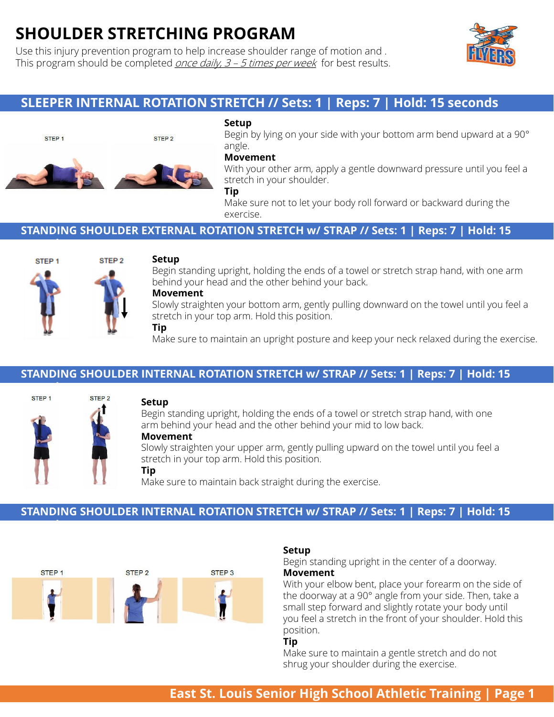# **SHOULDER STRETCHING PROGRAM**

Use this injury prevention program to help increase shoulder range of motion and . This program should be completed *once daily,*  $3 - 5$  *times per week* for best results.



# **SLEEPER INTERNAL ROTATION STRETCH // Sets: 1 | Reps: 7 | Hold: 15 seconds**



**seconds** 



#### **Setup**

Begin by lying on your side with your bottom arm bend upward at a 90° angle.

#### **Movement**

With your other arm, apply a gentle downward pressure until you feel a stretch in your shoulder.

#### **Tip**

Make sure not to let your body roll forward or backward during the exercise.

## **STANDING SHOULDER EXTERNAL ROTATION STRETCH w/ STRAP // Sets: 1 | Reps: 7 | Hold: 15**



#### **Setup**

STEP<sub>2</sub>

Begin standing upright, holding the ends of a towel or stretch strap hand, with one arm behind your head and the other behind your back.

## **Movement**

Slowly straighten your bottom arm, gently pulling downward on the towel until you feel a stretch in your top arm. Hold this position. **Tip**

Make sure to maintain an upright posture and keep your neck relaxed during the exercise.

## **STANDING SHOULDER INTERNAL ROTATION STRETCH w/ STRAP // Sets: 1 | Reps: 7 | Hold: 15**



**seconds**

## **Setup**

Begin standing upright, holding the ends of a towel or stretch strap hand, with one arm behind your head and the other behind your mid to low back.

#### **Movement**

Slowly straighten your upper arm, gently pulling upward on the towel until you feel a stretch in your top arm. Hold this position.

#### **Tip**

Make sure to maintain back straight during the exercise.

## **STANDING SHOULDER INTERNAL ROTATION STRETCH w/ STRAP // Sets: 1 | Reps: 7 | Hold: 15**



#### **Setup**

Begin standing upright in the center of a doorway. **Movement**

With your elbow bent, place your forearm on the side of the doorway at a 90° angle from your side. Then, take a small step forward and slightly rotate your body until you feel a stretch in the front of your shoulder. Hold this position.

#### **Tip**

Make sure to maintain a gentle stretch and do not shrug your shoulder during the exercise.

# **East St. Louis Senior High School Athletic Training | Page 1**